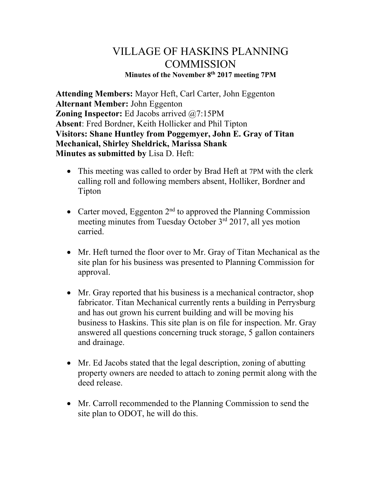## VILLAGE OF HASKINS PLANNING **COMMISSION Minutes of the November 8th 2017 meeting 7PM**

**Attending Members:** Mayor Heft, Carl Carter, John Eggenton **Alternant Member:** John Eggenton **Zoning Inspector:** Ed Jacobs arrived @7:15PM **Absent**: Fred Bordner, Keith Hollicker and Phil Tipton **Visitors: Shane Huntley from Poggemyer, John E. Gray of Titan Mechanical, Shirley Sheldrick, Marissa Shank Minutes as submitted by** Lisa D. Heft:

- This meeting was called to order by Brad Heft at 7PM with the clerk calling roll and following members absent, Holliker, Bordner and Tipton
- Carter moved, Eggenton  $2<sup>nd</sup>$  to approved the Planning Commission meeting minutes from Tuesday October 3<sup>rd</sup> 2017, all yes motion carried.
- Mr. Heft turned the floor over to Mr. Gray of Titan Mechanical as the site plan for his business was presented to Planning Commission for approval.
- Mr. Gray reported that his business is a mechanical contractor, shop fabricator. Titan Mechanical currently rents a building in Perrysburg and has out grown his current building and will be moving his business to Haskins. This site plan is on file for inspection. Mr. Gray answered all questions concerning truck storage, 5 gallon containers and drainage.
- Mr. Ed Jacobs stated that the legal description, zoning of abutting property owners are needed to attach to zoning permit along with the deed release.
- Mr. Carroll recommended to the Planning Commission to send the site plan to ODOT, he will do this.